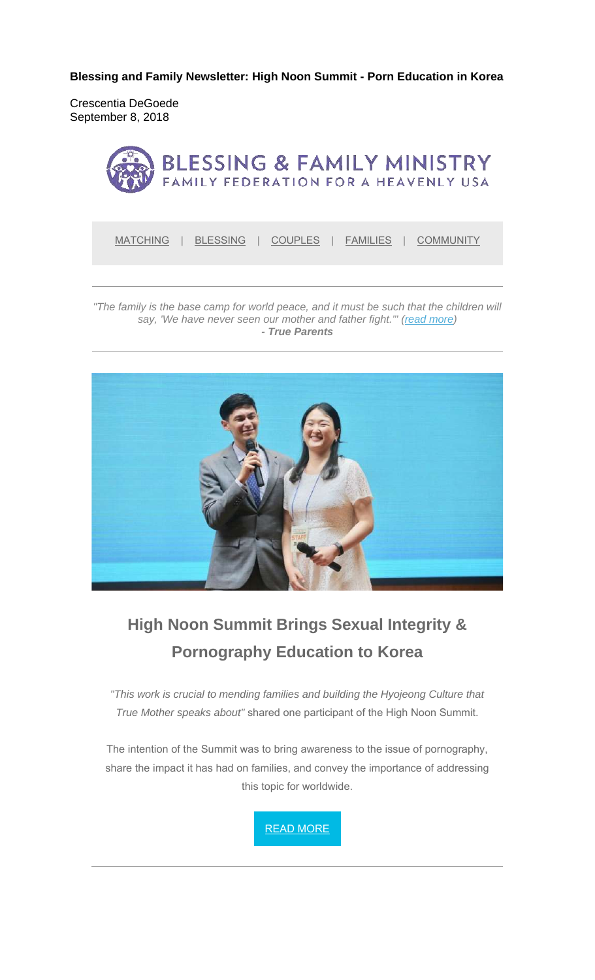**Blessing and Family Newsletter: High Noon Summit - Porn Education in Korea** 

Crescentia DeGoede September 8, 2018



MATCHING | BLESSING | COUPLES | FAMILIES | COMMUNITY

*"The family is the base camp for world peace, and it must be such that the children will say, 'We have never seen our mother and father fight.'" (read more) - True Parents*



# **High Noon Summit Brings Sexual Integrity & Pornography Education to Korea**

*"This work is crucial to mending families and building the Hyojeong Culture that True Mother speaks about"* shared one participant of the High Noon Summit.

The intention of the Summit was to bring awareness to the issue of pornography, share the impact it has had on families, and convey the importance of addressing this topic for worldwide.

READ MORE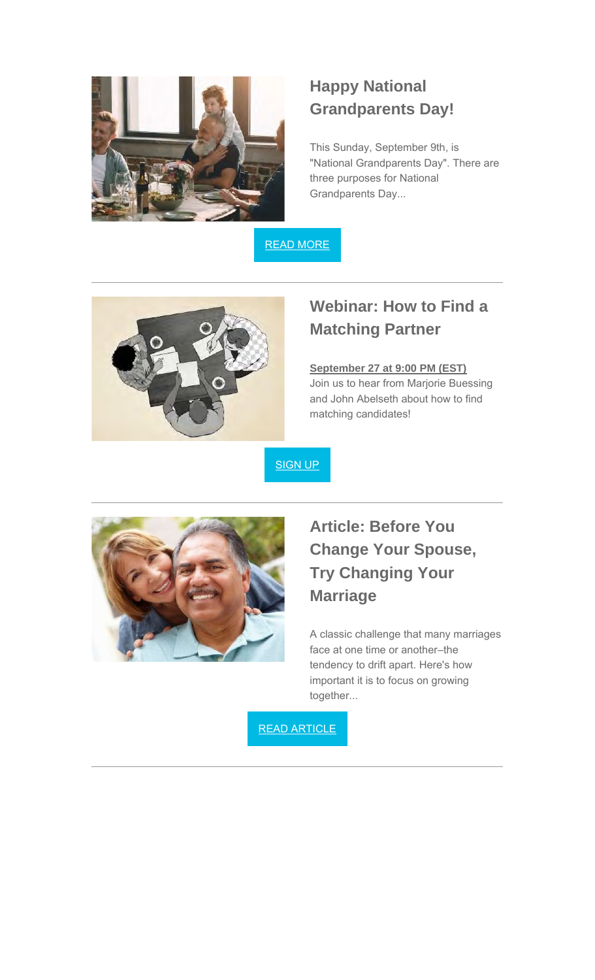

### **Happy National Grandparents Day!**

This Sunday, September 9th, is "National Grandparents Day". There are three purposes for National Grandparents Day...

READ MORE



### **Webinar: How to Find a Matching Partner**

#### **September 27 at 9:00 PM (EST)**

Join us to hear from Marjorie Buessing and John Abelseth about how to find matching candidates!

SIGN UP



## **Article: Before You Change Your Spouse, Try Changing Your Marriage**

A classic challenge that many marriages face at one time or another–the tendency to drift apart. Here's how important it is to focus on growing together...

READ ARTICLE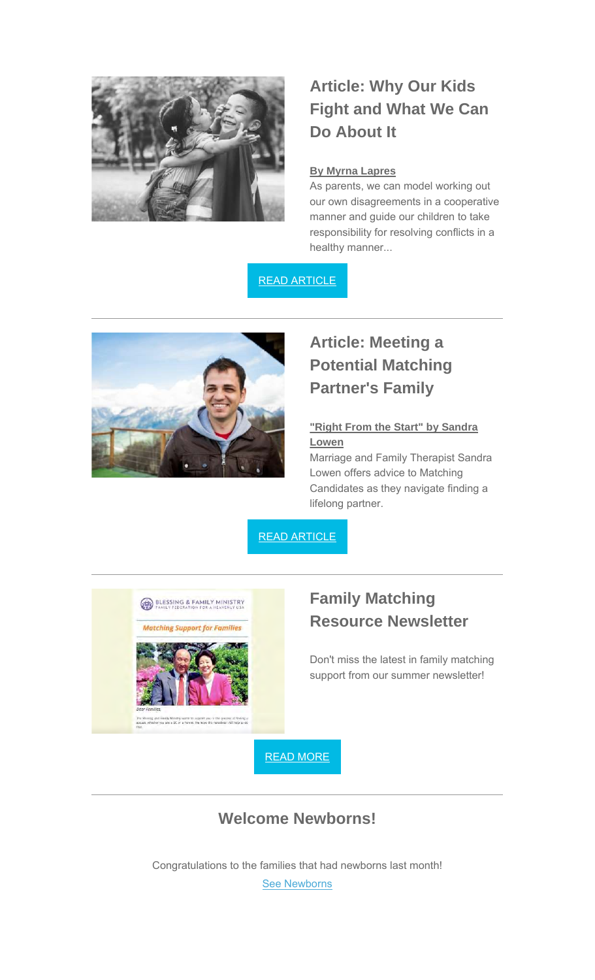

## **Article: Why Our Kids Fight and What We Can Do About It**

#### **By Myrna Lapres**

As parents, we can model working out our own disagreements in a cooperative manner and guide our children to take responsibility for resolving conflicts in a healthy manner...

#### READ ARTICLE



## **Article: Meeting a Potential Matching Partner's Family**

#### **"Right From the Start" by Sandra Lowen**

Marriage and Family Therapist Sandra Lowen offers advice to Matching Candidates as they navigate finding a lifelong partner.

#### READ ARTICLE



### **Family Matching Resource Newsletter**

Don't miss the latest in family matching support from our summer newsletter!

READ MORE

### **Welcome Newborns!**

Congratulations to the families that had newborns last month!

See Newborns